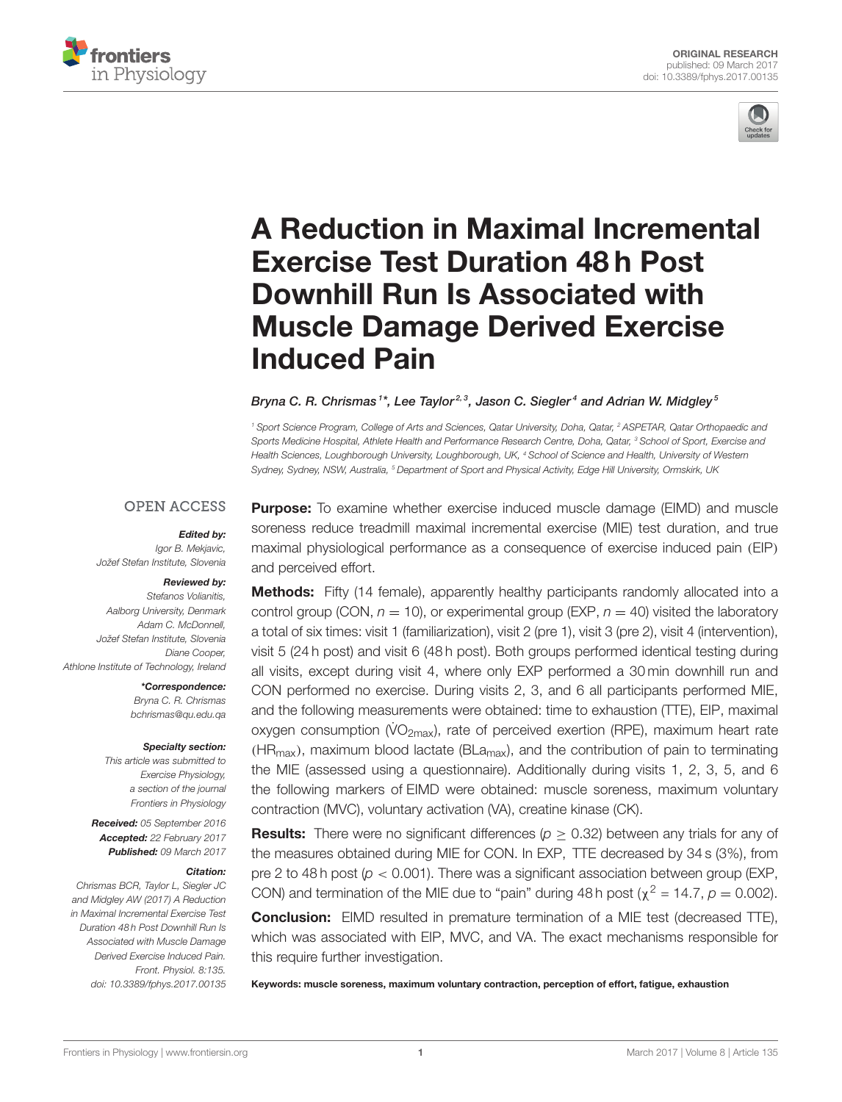



# [A Reduction in Maximal Incremental](http://journal.frontiersin.org/article/10.3389/fphys.2017.00135/abstract) Exercise Test Duration 48 h Post Downhill Run Is Associated with Muscle Damage Derived Exercise Induced Pain

[Bryna C. R. Chrismas](http://loop.frontiersin.org/people/305440/overview)1\*, [Lee Taylor](http://loop.frontiersin.org/people/136762/overview)<sup>2,3</sup>, [Jason C. Siegler](http://loop.frontiersin.org/people/379516/overview)<sup>4</sup> and [Adrian W. Midgley](http://loop.frontiersin.org/people/366807/overview)<sup>s</sup>

<sup>1</sup> Sport Science Program, College of Arts and Sciences, Qatar University, Doha, Qatar, <sup>2</sup> ASPETAR, Qatar Orthopaedic and Sports Medicine Hospital, Athlete Health and Performance Research Centre, Doha, Qatar, <sup>3</sup> School of Sport, Exercise and Health Sciences, Loughborough University, Loughborough, UK, <sup>4</sup> School of Science and Health, University of Western Sydney, Sydney, NSW, Australia, <sup>5</sup> Department of Sport and Physical Activity, Edge Hill University, Ormskirk, UK

### **OPEN ACCESS**

#### Edited by:

Igor B. Mekjavic, Jožef Stefan Institute, Slovenia

#### Reviewed by:

Stefanos Volianitis, Aalborg University, Denmark Adam C. McDonnell, Jožef Stefan Institute, Slovenia Diane Cooper, Athlone Institute of Technology, Ireland

\*Correspondence:

Bryna C. R. Chrismas [bchrismas@qu.edu.qa](mailto:bchrismas@qu.edu.qa)

#### Specialty section:

This article was submitted to Exercise Physiology, a section of the journal Frontiers in Physiology

Received: 05 September 2016 Accepted: 22 February 2017 Published: 09 March 2017

#### Citation:

Chrismas BCR, Taylor L, Siegler JC and Midgley AW (2017) A Reduction in Maximal Incremental Exercise Test Duration 48 h Post Downhill Run Is Associated with Muscle Damage Derived Exercise Induced Pain. Front. Physiol. 8:135. doi: [10.3389/fphys.2017.00135](https://doi.org/10.3389/fphys.2017.00135) **Purpose:** To examine whether exercise induced muscle damage (EIMD) and muscle soreness reduce treadmill maximal incremental exercise (MIE) test duration, and true maximal physiological performance as a consequence of exercise induced pain (EIP) and perceived effort.

**Methods:** Fifty (14 female), apparently healthy participants randomly allocated into a control group (CON,  $n = 10$ ), or experimental group (EXP,  $n = 40$ ) visited the laboratory a total of six times: visit 1 (familiarization), visit 2 (pre 1), visit 3 (pre 2), visit 4 (intervention), visit 5 (24 h post) and visit 6 (48 h post). Both groups performed identical testing during all visits, except during visit 4, where only EXP performed a 30 min downhill run and CON performed no exercise. During visits 2, 3, and 6 all participants performed MIE, and the following measurements were obtained: time to exhaustion (TTE), EIP, maximal oxygen consumption (VO<sub>2max</sub>), rate of perceived exertion (RPE), maximum heart rate  $(HR_{max})$ , maximum blood lactate (BLa<sub>max</sub>), and the contribution of pain to terminating the MIE (assessed using a questionnaire). Additionally during visits 1, 2, 3, 5, and 6 the following markers of EIMD were obtained: muscle soreness, maximum voluntary contraction (MVC), voluntary activation (VA), creatine kinase (CK).

**Results:** There were no significant differences ( $p \ge 0.32$ ) between any trials for any of the measures obtained during MIE for CON. In EXP, TTE decreased by 34 s (3%), from pre 2 to 48 h post ( $p < 0.001$ ). There was a significant association between group (EXP, CON) and termination of the MIE due to "pain" during 48 h post ( $\chi^2$  = 14.7,  $\rho$  = 0.002).

**Conclusion:** EIMD resulted in premature termination of a MIE test (decreased TTE), which was associated with EIP, MVC, and VA. The exact mechanisms responsible for this require further investigation.

Keywords: muscle soreness, maximum voluntary contraction, perception of effort, fatigue, exhaustion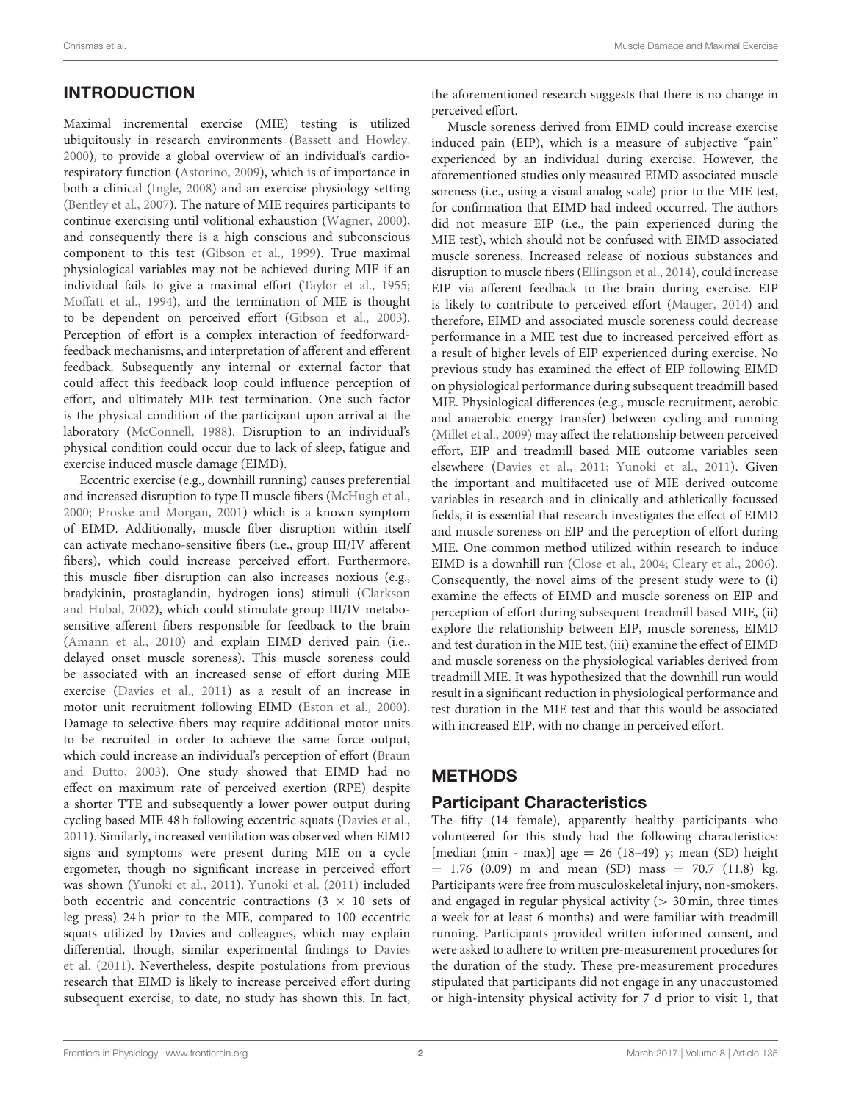# INTRODUCTION

Maximal incremental exercise (MIE) testing is utilized ubiquitously in research environments [\(Bassett and Howley,](#page-8-0) [2000\)](#page-8-0), to provide a global overview of an individual's cardiorespiratory function [\(Astorino, 2009\)](#page-8-1), which is of importance in both a clinical [\(Ingle, 2008\)](#page-9-0) and an exercise physiology setting [\(Bentley et al., 2007\)](#page-8-2). The nature of MIE requires participants to continue exercising until volitional exhaustion [\(Wagner, 2000\)](#page-10-0), and consequently there is a high conscious and subconscious component to this test [\(Gibson et al., 1999\)](#page-9-1). True maximal physiological variables may not be achieved during MIE if an individual fails to give a maximal effort [\(Taylor et al., 1955;](#page-10-1) [Moffatt et al., 1994\)](#page-9-2), and the termination of MIE is thought to be dependent on perceived effort [\(Gibson et al., 2003\)](#page-9-3). Perception of effort is a complex interaction of feedforwardfeedback mechanisms, and interpretation of afferent and efferent feedback. Subsequently any internal or external factor that could affect this feedback loop could influence perception of effort, and ultimately MIE test termination. One such factor is the physical condition of the participant upon arrival at the laboratory [\(McConnell, 1988\)](#page-9-4). Disruption to an individual's physical condition could occur due to lack of sleep, fatigue and exercise induced muscle damage (EIMD).

Eccentric exercise (e.g., downhill running) causes preferential and increased disruption to type II muscle fibers [\(McHugh et al.,](#page-9-5) [2000;](#page-9-5) [Proske and Morgan, 2001\)](#page-9-6) which is a known symptom of EIMD. Additionally, muscle fiber disruption within itself can activate mechano-sensitive fibers (i.e., group III/IV afferent fibers), which could increase perceived effort. Furthermore, this muscle fiber disruption can also increases noxious (e.g., bradykinin, prostaglandin, hydrogen ions) stimuli (Clarkson and Hubal, [2002\)](#page-9-7), which could stimulate group III/IV metabosensitive afferent fibers responsible for feedback to the brain [\(Amann et al., 2010\)](#page-8-3) and explain EIMD derived pain (i.e., delayed onset muscle soreness). This muscle soreness could be associated with an increased sense of effort during MIE exercise [\(Davies et al., 2011\)](#page-9-8) as a result of an increase in motor unit recruitment following EIMD [\(Eston et al., 2000\)](#page-9-9). Damage to selective fibers may require additional motor units to be recruited in order to achieve the same force output, which could increase an individual's perception of effort (Braun and Dutto, [2003\)](#page-8-4). One study showed that EIMD had no effect on maximum rate of perceived exertion (RPE) despite a shorter TTE and subsequently a lower power output during cycling based MIE 48 h following eccentric squats [\(Davies et al.,](#page-9-8) [2011\)](#page-9-8). Similarly, increased ventilation was observed when EIMD signs and symptoms were present during MIE on a cycle ergometer, though no significant increase in perceived effort was shown [\(Yunoki et al., 2011\)](#page-10-2). [Yunoki et al. \(2011\)](#page-10-2) included both eccentric and concentric contractions  $(3 \times 10)$  sets of leg press) 24 h prior to the MIE, compared to 100 eccentric squats utilized by Davies and colleagues, which may explain differential, though, similar experimental findings to Davies et al. [\(2011\)](#page-9-8). Nevertheless, despite postulations from previous research that EIMD is likely to increase perceived effort during subsequent exercise, to date, no study has shown this. In fact, the aforementioned research suggests that there is no change in perceived effort.

Muscle soreness derived from EIMD could increase exercise induced pain (EIP), which is a measure of subjective "pain" experienced by an individual during exercise. However, the aforementioned studies only measured EIMD associated muscle soreness (i.e., using a visual analog scale) prior to the MIE test, for confirmation that EIMD had indeed occurred. The authors did not measure EIP (i.e., the pain experienced during the MIE test), which should not be confused with EIMD associated muscle soreness. Increased release of noxious substances and disruption to muscle fibers [\(Ellingson et al., 2014\)](#page-9-10), could increase EIP via afferent feedback to the brain during exercise. EIP is likely to contribute to perceived effort [\(Mauger, 2014\)](#page-9-11) and therefore, EIMD and associated muscle soreness could decrease performance in a MIE test due to increased perceived effort as a result of higher levels of EIP experienced during exercise. No previous study has examined the effect of EIP following EIMD on physiological performance during subsequent treadmill based MIE. Physiological differences (e.g., muscle recruitment, aerobic and anaerobic energy transfer) between cycling and running [\(Millet et al., 2009\)](#page-9-12) may affect the relationship between perceived effort, EIP and treadmill based MIE outcome variables seen elsewhere [\(Davies et al., 2011;](#page-9-8) [Yunoki et al., 2011\)](#page-10-2). Given the important and multifaceted use of MIE derived outcome variables in research and in clinically and athletically focussed fields, it is essential that research investigates the effect of EIMD and muscle soreness on EIP and the perception of effort during MIE. One common method utilized within research to induce EIMD is a downhill run [\(Close et al., 2004;](#page-9-13) [Cleary et al., 2006\)](#page-9-14). Consequently, the novel aims of the present study were to (i) examine the effects of EIMD and muscle soreness on EIP and perception of effort during subsequent treadmill based MIE, (ii) explore the relationship between EIP, muscle soreness, EIMD and test duration in the MIE test, (iii) examine the effect of EIMD and muscle soreness on the physiological variables derived from treadmill MIE. It was hypothesized that the downhill run would result in a significant reduction in physiological performance and test duration in the MIE test and that this would be associated with increased EIP, with no change in perceived effort.

# METHODS

# Participant Characteristics

The fifty (14 female), apparently healthy participants who volunteered for this study had the following characteristics: [median (min - max)] age = 26 (18–49) y; mean (SD) height  $= 1.76$  (0.09) m and mean (SD) mass  $= 70.7$  (11.8) kg. Participants were free from musculoskeletal injury, non-smokers, and engaged in regular physical activity  $(> 30 \text{ min}, \text{three times})$ a week for at least 6 months) and were familiar with treadmill running. Participants provided written informed consent, and were asked to adhere to written pre-measurement procedures for the duration of the study. These pre-measurement procedures stipulated that participants did not engage in any unaccustomed or high-intensity physical activity for 7 d prior to visit 1, that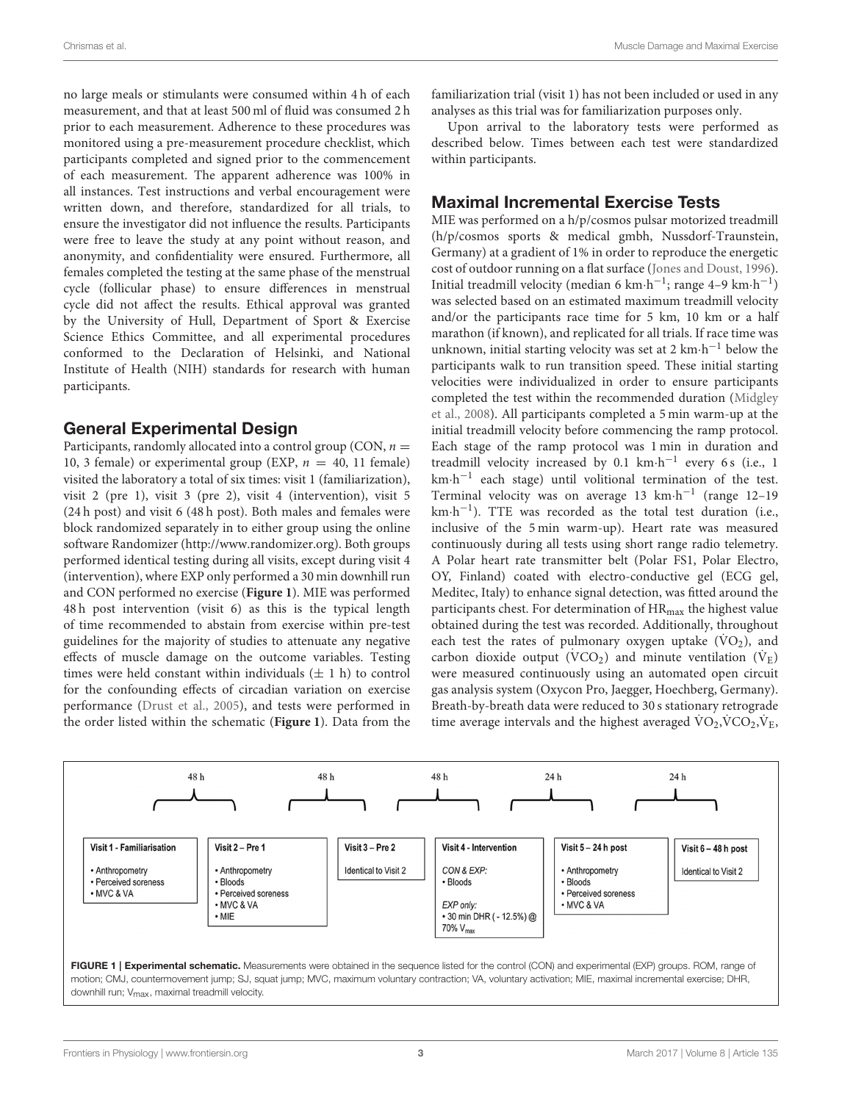no large meals or stimulants were consumed within 4 h of each measurement, and that at least 500 ml of fluid was consumed 2 h prior to each measurement. Adherence to these procedures was monitored using a pre-measurement procedure checklist, which participants completed and signed prior to the commencement of each measurement. The apparent adherence was 100% in all instances. Test instructions and verbal encouragement were written down, and therefore, standardized for all trials, to ensure the investigator did not influence the results. Participants were free to leave the study at any point without reason, and anonymity, and confidentiality were ensured. Furthermore, all females completed the testing at the same phase of the menstrual cycle (follicular phase) to ensure differences in menstrual cycle did not affect the results. Ethical approval was granted by the University of Hull, Department of Sport & Exercise Science Ethics Committee, and all experimental procedures conformed to the Declaration of Helsinki, and National Institute of Health (NIH) standards for research with human participants.

## General Experimental Design

Participants, randomly allocated into a control group (CON,  $n =$ 10, 3 female) or experimental group (EXP,  $n = 40$ , 11 female) visited the laboratory a total of six times: visit 1 (familiarization), visit 2 (pre 1), visit 3 (pre 2), visit 4 (intervention), visit 5 (24 h post) and visit 6 (48 h post). Both males and females were block randomized separately in to either group using the online software Randomizer [\(http://www.randomizer.org\)](http://www.randomizer.org). Both groups performed identical testing during all visits, except during visit 4 (intervention), where EXP only performed a 30 min downhill run and CON performed no exercise (**[Figure 1](#page-2-0)**). MIE was performed 48 h post intervention (visit 6) as this is the typical length of time recommended to abstain from exercise within pre-test guidelines for the majority of studies to attenuate any negative effects of muscle damage on the outcome variables. Testing times were held constant within individuals  $(\pm 1 h)$  to control for the confounding effects of circadian variation on exercise performance [\(Drust et al., 2005\)](#page-9-15), and tests were performed in the order listed within the schematic (**[Figure 1](#page-2-0)**). Data from the familiarization trial (visit 1) has not been included or used in any analyses as this trial was for familiarization purposes only.

Upon arrival to the laboratory tests were performed as described below. Times between each test were standardized within participants.

## Maximal Incremental Exercise Tests

MIE was performed on a h/p/cosmos pulsar motorized treadmill (h/p/cosmos sports & medical gmbh, Nussdorf-Traunstein, Germany) at a gradient of 1% in order to reproduce the energetic cost of outdoor running on a flat surface [\(Jones and Doust, 1996\)](#page-9-16). Initial treadmill velocity (median 6 km·h<sup>-1</sup>; range 4-9 km·h<sup>-1</sup>) was selected based on an estimated maximum treadmill velocity and/or the participants race time for 5 km, 10 km or a half marathon (if known), and replicated for all trials. If race time was unknown, initial starting velocity was set at 2 km $\cdot$ h<sup>-1</sup> below the participants walk to run transition speed. These initial starting velocities were individualized in order to ensure participants completed the test within the recommended duration (Midgley et al., [2008\)](#page-9-17). All participants completed a 5 min warm-up at the initial treadmill velocity before commencing the ramp protocol. Each stage of the ramp protocol was 1 min in duration and treadmill velocity increased by  $0.1 \text{ km} \cdot \text{h}^{-1}$  every 6 s (i.e., 1 km·h<sup>-1</sup> each stage) until volitional termination of the test. Terminal velocity was on average  $13 \text{ km}\cdot\text{h}^{-1}$  (range  $12-19$ km·h<sup>-1</sup>). TTE was recorded as the total test duration (i.e., inclusive of the 5 min warm-up). Heart rate was measured continuously during all tests using short range radio telemetry. A Polar heart rate transmitter belt (Polar FS1, Polar Electro, OY, Finland) coated with electro-conductive gel (ECG gel, Meditec, Italy) to enhance signal detection, was fitted around the participants chest. For determination of  $HR_{max}$  the highest value obtained during the test was recorded. Additionally, throughout each test the rates of pulmonary oxygen uptake  $(\dot{V}O_2)$ , and carbon dioxide output  $(VCO<sub>2</sub>)$  and minute ventilation  $(V<sub>E</sub>)$ were measured continuously using an automated open circuit gas analysis system (Oxycon Pro, Jaegger, Hoechberg, Germany). Breath-by-breath data were reduced to 30 s stationary retrograde time average intervals and the highest averaged  $\text{VO}_2,\text{VCO}_2,\text{V}_E,$ 



<span id="page-2-0"></span>motion; CMJ, countermovement jump; SJ, squat jump; MVC, maximum voluntary contraction; VA, voluntary activation; MIE, maximal incremental exercise; DHR, downhill run; V<sub>max</sub>, maximal treadmill velocity.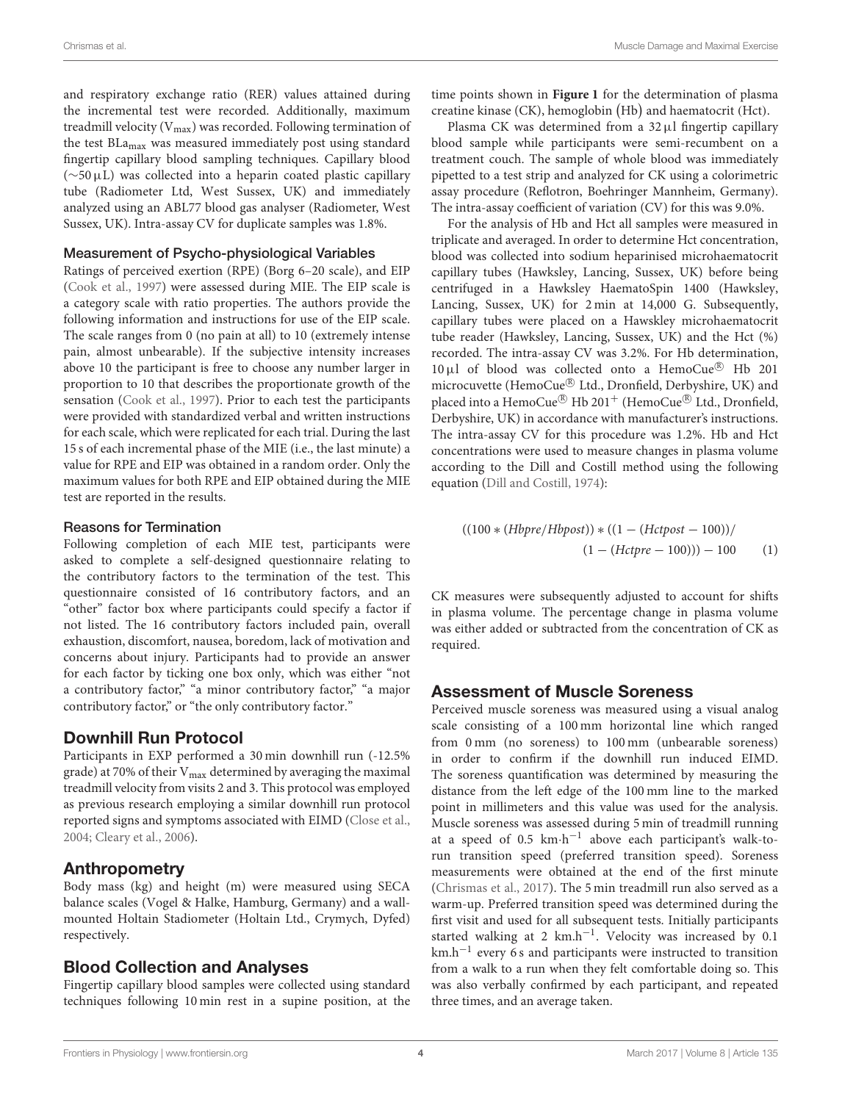and respiratory exchange ratio (RER) values attained during the incremental test were recorded. Additionally, maximum treadmill velocity  $(V_{max})$  was recorded. Following termination of the test BLamax was measured immediately post using standard fingertip capillary blood sampling techniques. Capillary blood (∼50µL) was collected into a heparin coated plastic capillary tube (Radiometer Ltd, West Sussex, UK) and immediately analyzed using an ABL77 blood gas analyser (Radiometer, West Sussex, UK). Intra-assay CV for duplicate samples was 1.8%.

#### Measurement of Psycho-physiological Variables

Ratings of perceived exertion (RPE) (Borg 6–20 scale), and EIP [\(Cook et al., 1997\)](#page-9-18) were assessed during MIE. The EIP scale is a category scale with ratio properties. The authors provide the following information and instructions for use of the EIP scale. The scale ranges from 0 (no pain at all) to 10 (extremely intense pain, almost unbearable). If the subjective intensity increases above 10 the participant is free to choose any number larger in proportion to 10 that describes the proportionate growth of the sensation [\(Cook et al., 1997\)](#page-9-18). Prior to each test the participants were provided with standardized verbal and written instructions for each scale, which were replicated for each trial. During the last 15 s of each incremental phase of the MIE (i.e., the last minute) a value for RPE and EIP was obtained in a random order. Only the maximum values for both RPE and EIP obtained during the MIE test are reported in the results.

#### Reasons for Termination

Following completion of each MIE test, participants were asked to complete a self-designed questionnaire relating to the contributory factors to the termination of the test. This questionnaire consisted of 16 contributory factors, and an "other" factor box where participants could specify a factor if not listed. The 16 contributory factors included pain, overall exhaustion, discomfort, nausea, boredom, lack of motivation and concerns about injury. Participants had to provide an answer for each factor by ticking one box only, which was either "not a contributory factor," "a minor contributory factor," "a major contributory factor," or "the only contributory factor."

#### Downhill Run Protocol

Participants in EXP performed a 30 min downhill run (-12.5% grade) at 70% of their  $V_{\text{max}}$  determined by averaging the maximal treadmill velocity from visits 2 and 3. This protocol was employed as previous research employing a similar downhill run protocol reported signs and symptoms associated with EIMD [\(Close et al.,](#page-9-13) [2004;](#page-9-13) [Cleary et al., 2006\)](#page-9-14).

#### Anthropometry

Body mass (kg) and height (m) were measured using SECA balance scales (Vogel & Halke, Hamburg, Germany) and a wallmounted Holtain Stadiometer (Holtain Ltd., Crymych, Dyfed) respectively.

## Blood Collection and Analyses

Fingertip capillary blood samples were collected using standard techniques following 10 min rest in a supine position, at the time points shown in **[Figure 1](#page-2-0)** for the determination of plasma creatine kinase (CK), hemoglobin (Hb) and haematocrit (Hct).

Plasma CK was determined from a 32 µl fingertip capillary blood sample while participants were semi-recumbent on a treatment couch. The sample of whole blood was immediately pipetted to a test strip and analyzed for CK using a colorimetric assay procedure (Reflotron, Boehringer Mannheim, Germany). The intra-assay coefficient of variation (CV) for this was 9.0%.

For the analysis of Hb and Hct all samples were measured in triplicate and averaged. In order to determine Hct concentration, blood was collected into sodium heparinised microhaematocrit capillary tubes (Hawksley, Lancing, Sussex, UK) before being centrifuged in a Hawksley HaematoSpin 1400 (Hawksley, Lancing, Sussex, UK) for 2 min at 14,000 G. Subsequently, capillary tubes were placed on a Hawskley microhaematocrit tube reader (Hawksley, Lancing, Sussex, UK) and the Hct (%) recorded. The intra-assay CV was 3.2%. For Hb determination,  $10 \,\mu$ l of blood was collected onto a HemoCue® Hb 201 microcuvette (HemoCue® Ltd., Dronfield, Derbyshire, UK) and placed into a HemoCue<sup>®</sup> Hb 201<sup>+</sup> (HemoCue<sup>®</sup> Ltd., Dronfield, Derbyshire, UK) in accordance with manufacturer's instructions. The intra-assay CV for this procedure was 1.2%. Hb and Hct concentrations were used to measure changes in plasma volume according to the Dill and Costill method using the following equation [\(Dill and Costill, 1974\)](#page-9-19):

$$
((100 * (Hbpre/Hbpost)) * ((1 - (Hctpost - 100))/
$$
  
 $((1 - (Hctpre - 100))) - 100$  (1)

CK measures were subsequently adjusted to account for shifts in plasma volume. The percentage change in plasma volume was either added or subtracted from the concentration of CK as required.

#### Assessment of Muscle Soreness

Perceived muscle soreness was measured using a visual analog scale consisting of a 100 mm horizontal line which ranged from 0 mm (no soreness) to 100 mm (unbearable soreness) in order to confirm if the downhill run induced EIMD. The soreness quantification was determined by measuring the distance from the left edge of the 100 mm line to the marked point in millimeters and this value was used for the analysis. Muscle soreness was assessed during 5 min of treadmill running at a speed of  $0.5 \text{ km} \cdot \text{h}^{-1}$  above each participant's walk-torun transition speed (preferred transition speed). Soreness measurements were obtained at the end of the first minute [\(Chrismas et al., 2017\)](#page-9-20). The 5 min treadmill run also served as a warm-up. Preferred transition speed was determined during the first visit and used for all subsequent tests. Initially participants started walking at 2 km.h<sup>-1</sup>. Velocity was increased by 0.1 km.h−<sup>1</sup> every 6 s and participants were instructed to transition from a walk to a run when they felt comfortable doing so. This was also verbally confirmed by each participant, and repeated three times, and an average taken.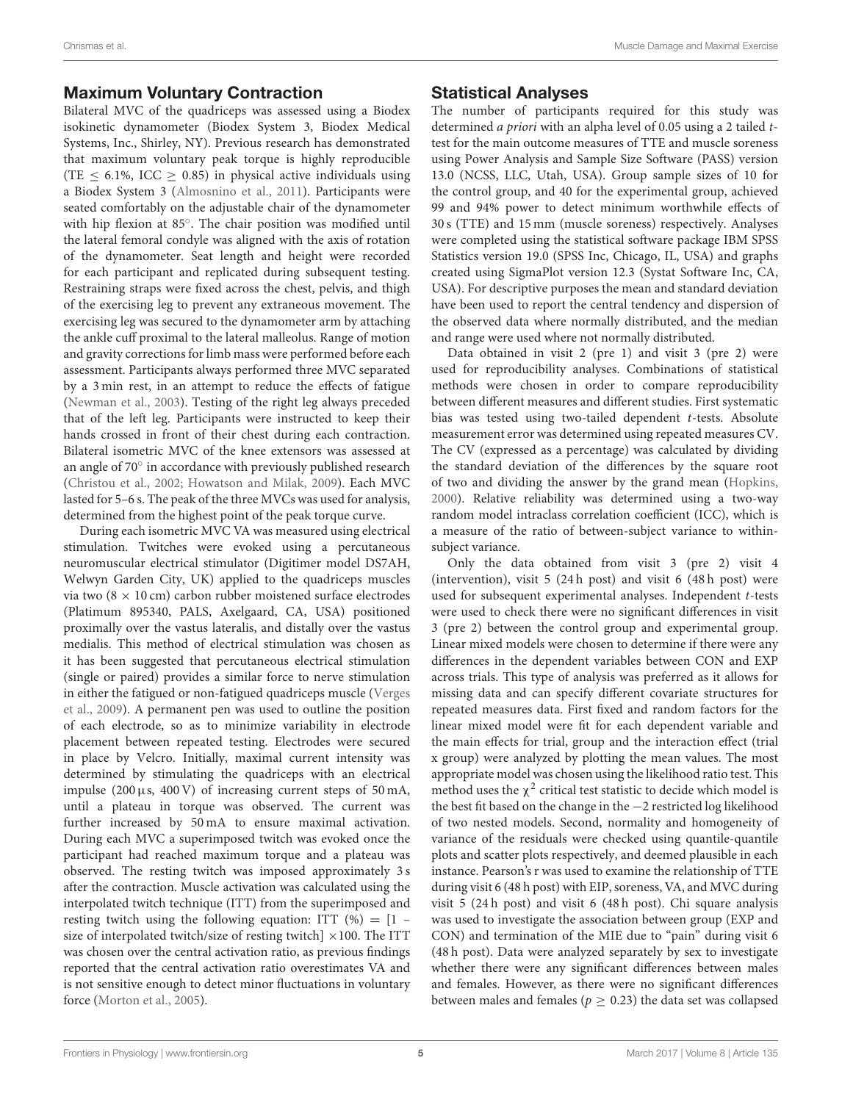## Maximum Voluntary Contraction

Bilateral MVC of the quadriceps was assessed using a Biodex isokinetic dynamometer (Biodex System 3, Biodex Medical Systems, Inc., Shirley, NY). Previous research has demonstrated that maximum voluntary peak torque is highly reproducible (TE  $\leq$  6.1%, ICC  $\geq$  0.85) in physical active individuals using a Biodex System 3 [\(Almosnino et al., 2011\)](#page-8-5). Participants were seated comfortably on the adjustable chair of the dynamometer with hip flexion at 85°. The chair position was modified until the lateral femoral condyle was aligned with the axis of rotation of the dynamometer. Seat length and height were recorded for each participant and replicated during subsequent testing. Restraining straps were fixed across the chest, pelvis, and thigh of the exercising leg to prevent any extraneous movement. The exercising leg was secured to the dynamometer arm by attaching the ankle cuff proximal to the lateral malleolus. Range of motion and gravity corrections for limb mass were performed before each assessment. Participants always performed three MVC separated by a 3 min rest, in an attempt to reduce the effects of fatigue [\(Newman et al., 2003\)](#page-9-21). Testing of the right leg always preceded that of the left leg. Participants were instructed to keep their hands crossed in front of their chest during each contraction. Bilateral isometric MVC of the knee extensors was assessed at an angle of 70° in accordance with previously published research [\(Christou et al., 2002;](#page-9-22) [Howatson and Milak, 2009\)](#page-9-23). Each MVC lasted for 5–6 s. The peak of the three MVCs was used for analysis, determined from the highest point of the peak torque curve.

During each isometric MVC VA was measured using electrical stimulation. Twitches were evoked using a percutaneous neuromuscular electrical stimulator (Digitimer model DS7AH, Welwyn Garden City, UK) applied to the quadriceps muscles via two ( $8 \times 10$  cm) carbon rubber moistened surface electrodes (Platimum 895340, PALS, Axelgaard, CA, USA) positioned proximally over the vastus lateralis, and distally over the vastus medialis. This method of electrical stimulation was chosen as it has been suggested that percutaneous electrical stimulation (single or paired) provides a similar force to nerve stimulation in either the fatigued or non-fatigued quadriceps muscle (Verges et al., [2009\)](#page-10-3). A permanent pen was used to outline the position of each electrode, so as to minimize variability in electrode placement between repeated testing. Electrodes were secured in place by Velcro. Initially, maximal current intensity was determined by stimulating the quadriceps with an electrical impulse  $(200 \,\mu s, 400 \,\text{V})$  of increasing current steps of 50 mA, until a plateau in torque was observed. The current was further increased by 50 mA to ensure maximal activation. During each MVC a superimposed twitch was evoked once the participant had reached maximum torque and a plateau was observed. The resting twitch was imposed approximately 3 s after the contraction. Muscle activation was calculated using the interpolated twitch technique (ITT) from the superimposed and resting twitch using the following equation: ITT  $(\%) = [1$ size of interpolated twitch/size of resting twitch]  $\times$ 100. The ITT was chosen over the central activation ratio, as previous findings reported that the central activation ratio overestimates VA and is not sensitive enough to detect minor fluctuations in voluntary force [\(Morton et al., 2005\)](#page-9-24).

## Statistical Analyses

The number of participants required for this study was determined a priori with an alpha level of 0.05 using a 2 tailed ttest for the main outcome measures of TTE and muscle soreness using Power Analysis and Sample Size Software (PASS) version 13.0 (NCSS, LLC, Utah, USA). Group sample sizes of 10 for the control group, and 40 for the experimental group, achieved 99 and 94% power to detect minimum worthwhile effects of 30 s (TTE) and 15 mm (muscle soreness) respectively. Analyses were completed using the statistical software package IBM SPSS Statistics version 19.0 (SPSS Inc, Chicago, IL, USA) and graphs created using SigmaPlot version 12.3 (Systat Software Inc, CA, USA). For descriptive purposes the mean and standard deviation have been used to report the central tendency and dispersion of the observed data where normally distributed, and the median and range were used where not normally distributed.

Data obtained in visit 2 (pre 1) and visit 3 (pre 2) were used for reproducibility analyses. Combinations of statistical methods were chosen in order to compare reproducibility between different measures and different studies. First systematic bias was tested using two-tailed dependent t-tests. Absolute measurement error was determined using repeated measures CV. The CV (expressed as a percentage) was calculated by dividing the standard deviation of the differences by the square root of two and dividing the answer by the grand mean [\(Hopkins,](#page-9-25) [2000\)](#page-9-25). Relative reliability was determined using a two-way random model intraclass correlation coefficient (ICC), which is a measure of the ratio of between-subject variance to withinsubject variance.

Only the data obtained from visit 3 (pre 2) visit 4 (intervention), visit  $5(24h \text{ post})$  and visit  $6(48h \text{ post})$  were used for subsequent experimental analyses. Independent t-tests were used to check there were no significant differences in visit 3 (pre 2) between the control group and experimental group. Linear mixed models were chosen to determine if there were any differences in the dependent variables between CON and EXP across trials. This type of analysis was preferred as it allows for missing data and can specify different covariate structures for repeated measures data. First fixed and random factors for the linear mixed model were fit for each dependent variable and the main effects for trial, group and the interaction effect (trial x group) were analyzed by plotting the mean values. The most appropriate model was chosen using the likelihood ratio test. This method uses the  $\chi^2$  critical test statistic to decide which model is the best fit based on the change in the −2 restricted log likelihood of two nested models. Second, normality and homogeneity of variance of the residuals were checked using quantile-quantile plots and scatter plots respectively, and deemed plausible in each instance. Pearson's r was used to examine the relationship of TTE during visit 6 (48 h post) with EIP, soreness, VA, and MVC during visit 5 (24 h post) and visit 6 (48 h post). Chi square analysis was used to investigate the association between group (EXP and CON) and termination of the MIE due to "pain" during visit 6 (48 h post). Data were analyzed separately by sex to investigate whether there were any significant differences between males and females. However, as there were no significant differences between males and females ( $p \ge 0.23$ ) the data set was collapsed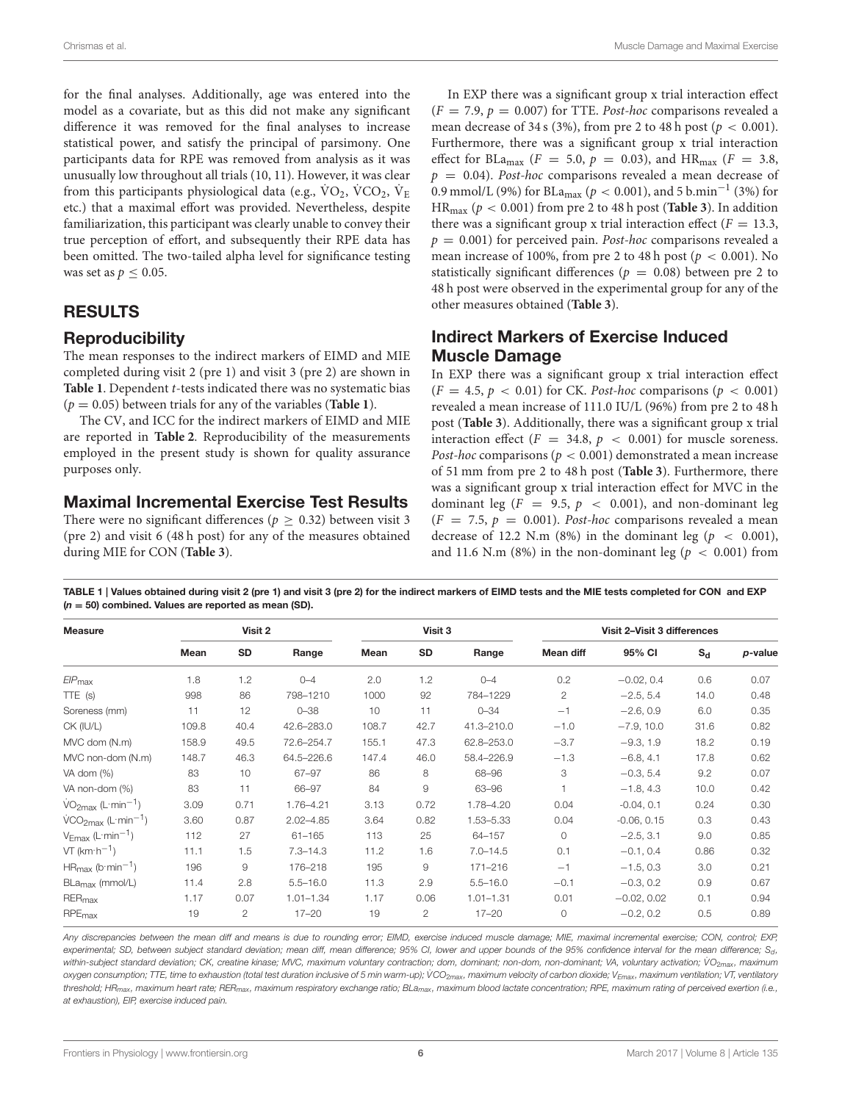for the final analyses. Additionally, age was entered into the model as a covariate, but as this did not make any significant difference it was removed for the final analyses to increase statistical power, and satisfy the principal of parsimony. One participants data for RPE was removed from analysis as it was unusually low throughout all trials (10, 11). However, it was clear from this participants physiological data (e.g.,  $\text{VO}_2$ ,  $\text{VCO}_2$ ,  $\text{V}_\text{E}$ etc.) that a maximal effort was provided. Nevertheless, despite familiarization, this participant was clearly unable to convey their true perception of effort, and subsequently their RPE data has been omitted. The two-tailed alpha level for significance testing was set as  $p \leq 0.05$ .

# RESULTS

## **Reproducibility**

The mean responses to the indirect markers of EIMD and MIE completed during visit 2 (pre 1) and visit 3 (pre 2) are shown in [Table 1](#page-5-0). Dependent *t*-tests indicated there was no systematic bias  $(p = 0.05)$  between trials for any of the variables (**[Table 1](#page-5-0)**).

The CV, and ICC for the indirect markers of EIMD and MIE are reported in **[Table 2](#page-6-0)**. Reproducibility of the measurements employed in the present study is shown for quality assurance purposes only.

## Maximal Incremental Exercise Test Results

There were no significant differences ( $p \ge 0.32$ ) between visit 3 (pre 2) and visit 6 (48 h post) for any of the measures obtained during MIE for CON (**[Table 3](#page-7-0)**).

In EXP there was a significant group x trial interaction effect  $(F = 7.9, p = 0.007)$  for TTE. *Post-hoc* comparisons revealed a mean decrease of 34 s (3%), from pre 2 to 48 h post ( $p < 0.001$ ). Furthermore, there was a significant group x trial interaction effect for BLa<sub>max</sub> ( $F = 5.0$ ,  $p = 0.03$ ), and HR<sub>max</sub> ( $F = 3.8$ ,  $p = 0.04$ ). Post-hoc comparisons revealed a mean decrease of 0.9 mmol/L (9%) for BLa<sub>max</sub> ( $p < 0.001$ ), and 5 b.min<sup>-1</sup> (3%) for  $HR_{max}$  ( $p < 0.001$ ) from pre 2 to 48 h post (**[Table 3](#page-7-0)**). In addition there was a significant group x trial interaction effect ( $F = 13.3$ ,  $p = 0.001$ ) for perceived pain. Post-hoc comparisons revealed a mean increase of 100%, from pre 2 to 48 h post ( $p < 0.001$ ). No statistically significant differences ( $p = 0.08$ ) between pre 2 to 48 h post were observed in the experimental group for any of the other measures obtained (**[Table 3](#page-7-0)**).

# Indirect Markers of Exercise Induced Muscle Damage

In EXP there was a significant group x trial interaction effect  $(F = 4.5, p < 0.01)$  for CK. Post-hoc comparisons  $(p < 0.001)$ revealed a mean increase of 111.0 IU/L (96%) from pre 2 to 48 h post (**[Table 3](#page-7-0)**). Additionally, there was a significant group x trial interaction effect ( $F = 34.8$ ,  $p < 0.001$ ) for muscle soreness. Post-hoc comparisons ( $p < 0.001$ ) demonstrated a mean increase of 51 mm from pre 2 to 48 h post (**[Table 3](#page-7-0)**). Furthermore, there was a significant group x trial interaction effect for MVC in the dominant leg ( $F = 9.5$ ,  $p < 0.001$ ), and non-dominant leg  $(F = 7.5, p = 0.001)$ . Post-hoc comparisons revealed a mean decrease of 12.2 N.m (8%) in the dominant leg ( $p < 0.001$ ), and 11.6 N.m (8%) in the non-dominant leg ( $p < 0.001$ ) from

<span id="page-5-0"></span>TABLE 1 | Values obtained during visit 2 (pre 1) and visit 3 (pre 2) for the indirect markers of EIMD tests and the MIE tests completed for CON and EXP  $(n = 50)$  combined. Values are reported as mean (SD).

| <b>Measure</b>                    | Visit 2 |                |               | Visit 3 |              |               | Visit 2-Visit 3 differences |               |       |         |
|-----------------------------------|---------|----------------|---------------|---------|--------------|---------------|-----------------------------|---------------|-------|---------|
|                                   | Mean    | SD             | Range         | Mean    | SD           | Range         | Mean diff                   | 95% CI        | $S_d$ | p-value |
| $EIP_{\text{max}}$                | 1.8     | 1.2            | $0 - 4$       | 2.0     | 1.2          | $0 - 4$       | 0.2                         | $-0.02, 0.4$  | 0.6   | 0.07    |
| $TTE$ (s)                         | 998     | 86             | 798-1210      | 1000    | 92           | 784-1229      | $\mathbf{2}$                | $-2.5, 5.4$   | 14.0  | 0.48    |
| Soreness (mm)                     | 11      | 12             | $0 - 38$      | 10      | 11           | $0 - 34$      | $-1$                        | $-2.6, 0.9$   | 6.0   | 0.35    |
| CK (IU/L)                         | 109.8   | 40.4           | 42.6-283.0    | 108.7   | 42.7         | 41.3-210.0    | $-1.0$                      | $-7.9, 10.0$  | 31.6  | 0.82    |
| MVC dom (N.m)                     | 158.9   | 49.5           | 72.6-254.7    | 155.1   | 47.3         | 62.8-253.0    | $-3.7$                      | $-9.3, 1.9$   | 18.2  | 0.19    |
| MVC non-dom (N.m)                 | 148.7   | 46.3           | 64.5-226.6    | 147.4   | 46.0         | 58.4-226.9    | $-1.3$                      | $-6.8, 4.1$   | 17.8  | 0.62    |
| VA dom $(\%)$                     | 83      | 10             | 67-97         | 86      | 8            | 68-96         | 3                           | $-0.3, 5.4$   | 9.2   | 0.07    |
| VA non-dom (%)                    | 83      | 11             | 66-97         | 84      | 9            | 63-96         |                             | $-1.8, 4.3$   | 10.0  | 0.42    |
| $VO2max$ (L·min <sup>-1</sup> )   | 3.09    | 0.71           | 1.76-4.21     | 3.13    | 0.72         | 1.78-4.20     | 0.04                        | $-0.04, 0.1$  | 0.24  | 0.30    |
| $VCO2max$ (L min <sup>-1</sup> )  | 3.60    | 0.87           | $2.02 - 4.85$ | 3.64    | 0.82         | 1.53-5.33     | 0.04                        | $-0.06, 0.15$ | 0.3   | 0.43    |
| $V_{Emax}$ (L·min <sup>-1</sup> ) | 112     | 27             | $61 - 165$    | 113     | 25           | 64-157        | $\circ$                     | $-2.5, 3.1$   | 9.0   | 0.85    |
| $VT$ (km $\cdot h^{-1}$ )         | 11.1    | 1.5            | $7.3 - 14.3$  | 11.2    | 1.6          | $7.0 - 14.5$  | 0.1                         | $-0.1, 0.4$   | 0.86  | 0.32    |
| $HR_{max}$ (b·min <sup>-1</sup> ) | 196     | $\hbox{9}$     | 176-218       | 195     | 9            | 171-216       | $-1$                        | $-1.5, 0.3$   | 3.0   | 0.21    |
| BLa <sub>max</sub> (mmol/L)       | 11.4    | 2.8            | $5.5 - 16.0$  | 11.3    | 2.9          | $5.5 - 16.0$  | $-0.1$                      | $-0.3, 0.2$   | 0.9   | 0.67    |
| RER <sub>max</sub>                | 1.17    | 0.07           | $1.01 - 1.34$ | 1.17    | 0.06         | $1.01 - 1.31$ | 0.01                        | $-0.02, 0.02$ | 0.1   | 0.94    |
| $RPE_{max}$                       | 19      | $\overline{2}$ | $17 - 20$     | 19      | $\mathbf{2}$ | $17 - 20$     | $\circ$                     | $-0.2, 0.2$   | 0.5   | 0.89    |

Any discrepancies between the mean diff and means is due to rounding error; EIMD, exercise induced muscle damage; MIE, maximal incremental exercise; CON, control; EXP, experimental; SD, between subject standard deviation; mean diff, mean difference; 95% CI, lower and upper bounds of the 95% confidence interval for the mean difference; Sd, within-subject standard deviation; CK, creatine kinase; MVC, maximum voluntary contraction; dom, dominant; non-dominant; VA, voluntary activation; VO<sub>2max</sub>, maximum oxygen consumption; TTE, time to exhaustion (total test duration inclusive of 5 min warm-up); VCO<sub>2max</sub>, maximum velocity of carbon dioxide; V<sub>Emax</sub>, maximum ventilation; VT, ventilatory threshold; HR<sub>max</sub>, maximum heart rate; RER<sub>max</sub>, maximum respiratory exchange ratio; BLa<sub>max</sub>, maximum blood lactate concentration; RPE, maximum rating of perceived exertion (i.e., at exhaustion), EIP, exercise induced pain.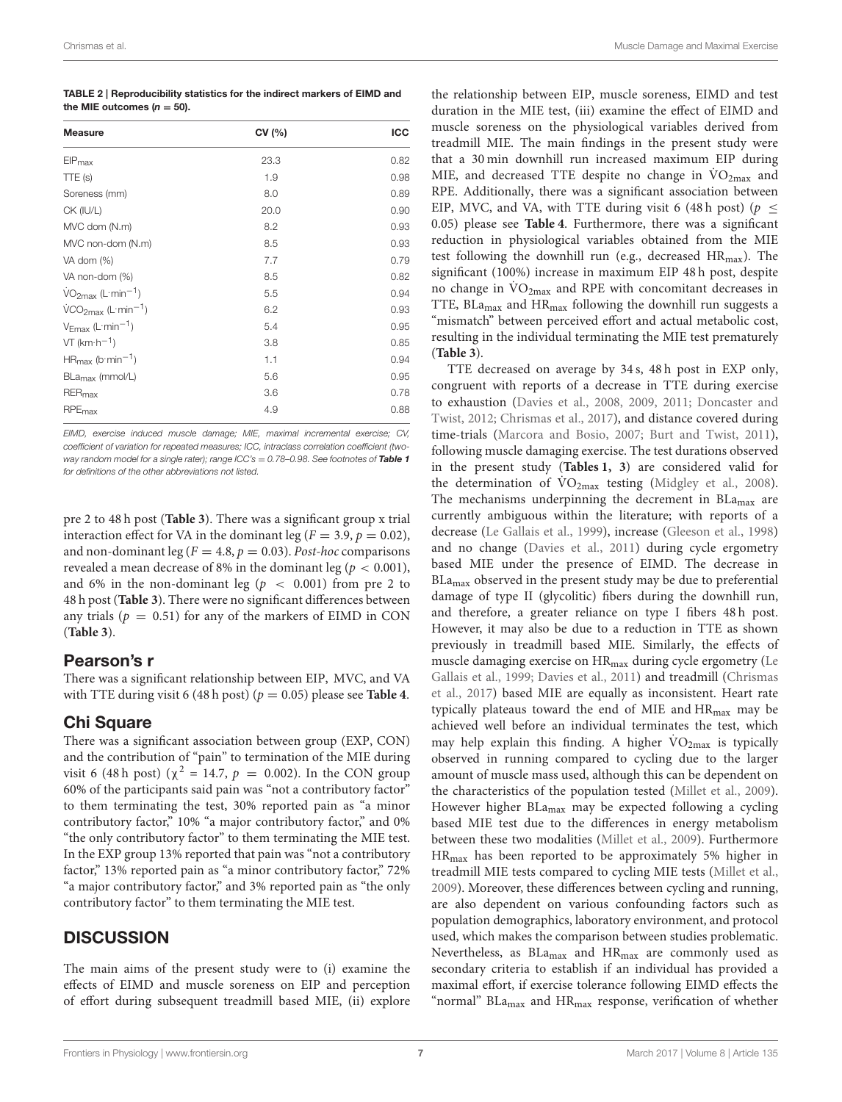<span id="page-6-0"></span>TABLE 2 | Reproducibility statistics for the indirect markers of EIMD and the MIE outcomes ( $n = 50$ ).

| <b>Measure</b>                                    | CV(%) | <b>ICC</b> |  |
|---------------------------------------------------|-------|------------|--|
| $EIP_{\text{max}}$                                | 23.3  | 0.82       |  |
| TTE (s)                                           | 1.9   | 0.98       |  |
| Soreness (mm)                                     | 8.0   | 0.89       |  |
| CK (IU/L)                                         | 20.0  | 0.90       |  |
| MVC dom (N.m)                                     | 8.2   | 0.93       |  |
| MVC non-dom (N.m)                                 | 8.5   | 0.93       |  |
| VA dom (%)                                        | 7.7   | 0.79       |  |
| VA non-dom (%)                                    | 8.5   | 0.82       |  |
| $\text{VO}_{2\text{max}}$ (L·min <sup>-1</sup> )  | 5.5   | 0.94       |  |
| $\text{VCO}_{2\text{max}}$ (L·min <sup>-1</sup> ) | 6.2   | 0.93       |  |
| $V_{Fmax}$ (L·min <sup>-1</sup> )                 | 5.4   | 0.95       |  |
| $VT$ (km $\cdot h^{-1}$ )                         | 3.8   | 0.85       |  |
| $HR_{\text{max}}$ (b·min <sup>-1</sup> )          | 1.1   | 0.94       |  |
| BLa <sub>max</sub> (mmol/L)                       | 5.6   | 0.95       |  |
| RER <sub>max</sub>                                | 3.6   | 0.78       |  |
| RPE <sub>max</sub>                                | 4.9   | 0.88       |  |

EIMD, exercise induced muscle damage; MIE, maximal incremental exercise; CV, coefficient of variation for repeated measures; ICC, intraclass correlation coefficient (twoway random model for a single rater); range  $ICC$ 's = 0.78-0.98. See footnotes of **[Table 1](#page-5-0)** for definitions of the other abbreviations not listed.

pre 2 to 48 h post (**[Table 3](#page-7-0)**). There was a significant group x trial interaction effect for VA in the dominant leg ( $F = 3.9$ ,  $p = 0.02$ ), and non-dominant leg ( $F = 4.8$ ,  $p = 0.03$ ). Post-hoc comparisons revealed a mean decrease of 8% in the dominant leg ( $p < 0.001$ ), and 6% in the non-dominant leg ( $p < 0.001$ ) from pre 2 to 48 h post (**[Table 3](#page-7-0)**). There were no significant differences between any trials ( $p = 0.51$ ) for any of the markers of EIMD in CON (**[Table 3](#page-7-0)**).

## Pearson's r

There was a significant relationship between EIP, MVC, and VA with TTE during visit 6 (48 h post) ( $p = 0.05$ ) please see **[Table 4](#page-7-1)**.

## Chi Square

There was a significant association between group (EXP, CON) and the contribution of "pain" to termination of the MIE during visit 6 (48 h post) ( $\chi^2$  = 14.7,  $p = 0.002$ ). In the CON group 60% of the participants said pain was "not a contributory factor" to them terminating the test, 30% reported pain as "a minor contributory factor," 10% "a major contributory factor," and 0% "the only contributory factor" to them terminating the MIE test. In the EXP group 13% reported that pain was "not a contributory factor," 13% reported pain as "a minor contributory factor," 72% "a major contributory factor," and 3% reported pain as "the only contributory factor" to them terminating the MIE test.

## **DISCUSSION**

The main aims of the present study were to (i) examine the effects of EIMD and muscle soreness on EIP and perception of effort during subsequent treadmill based MIE, (ii) explore

the relationship between EIP, muscle soreness, EIMD and test duration in the MIE test, (iii) examine the effect of EIMD and muscle soreness on the physiological variables derived from treadmill MIE. The main findings in the present study were that a 30 min downhill run increased maximum EIP during MIE, and decreased TTE despite no change in  $\rm \dot{VO}_{2max}$  and RPE. Additionally, there was a significant association between EIP, MVC, and VA, with TTE during visit 6 (48 h post) ( $p \leq$ 0.05) please see **[Table 4](#page-7-1)**. Furthermore, there was a significant reduction in physiological variables obtained from the MIE test following the downhill run (e.g., decreased  $HR_{max}$ ). The significant (100%) increase in maximum EIP 48 h post, despite no change in  $\rm VO_{2max}$  and RPE with concomitant decreases in TTE,  $BLa_{max}$  and  $HR_{max}$  following the downhill run suggests a "mismatch" between perceived effort and actual metabolic cost, resulting in the individual terminating the MIE test prematurely (**[Table 3](#page-7-0)**).

TTE decreased on average by 34 s, 48 h post in EXP only, congruent with reports of a decrease in TTE during exercise to exhaustion [\(Davies et al., 2008,](#page-9-26) [2009,](#page-9-27) [2011;](#page-9-8) Doncaster and Twist, [2012;](#page-9-28) [Chrismas et al., 2017\)](#page-9-20), and distance covered during time-trials [\(Marcora and Bosio, 2007;](#page-9-29) [Burt and Twist, 2011\)](#page-9-30), following muscle damaging exercise. The test durations observed in the present study (**[Tables 1,](#page-5-0) [3](#page-7-0)**) are considered valid for the determination of  $\text{VO}_{2\text{max}}$  testing [\(Midgley et al., 2008\)](#page-9-17). The mechanisms underpinning the decrement in  $BLa_{max}$  are currently ambiguous within the literature; with reports of a decrease [\(Le Gallais et al., 1999\)](#page-9-31), increase [\(Gleeson et al., 1998\)](#page-9-32) and no change [\(Davies et al., 2011\)](#page-9-8) during cycle ergometry based MIE under the presence of EIMD. The decrease in BLa<sub>max</sub> observed in the present study may be due to preferential damage of type II (glycolitic) fibers during the downhill run, and therefore, a greater reliance on type I fibers 48 h post. However, it may also be due to a reduction in TTE as shown previously in treadmill based MIE. Similarly, the effects of muscle damaging exercise on HR<sub>max</sub> during cycle ergometry (Le Gallais et al., [1999;](#page-9-31) [Davies et al., 2011\)](#page-9-8) and treadmill (Chrismas et al., [2017\)](#page-9-20) based MIE are equally as inconsistent. Heart rate typically plateaus toward the end of MIE and HR<sub>max</sub> may be achieved well before an individual terminates the test, which may help explain this finding. A higher  $\rm VO_{2max}$  is typically observed in running compared to cycling due to the larger amount of muscle mass used, although this can be dependent on the characteristics of the population tested [\(Millet et al., 2009\)](#page-9-12). However higher BLamax may be expected following a cycling based MIE test due to the differences in energy metabolism between these two modalities [\(Millet et al., 2009\)](#page-9-12). Furthermore HRmax has been reported to be approximately 5% higher in treadmill MIE tests compared to cycling MIE tests [\(Millet et al.,](#page-9-12) [2009\)](#page-9-12). Moreover, these differences between cycling and running, are also dependent on various confounding factors such as population demographics, laboratory environment, and protocol used, which makes the comparison between studies problematic. Nevertheless, as BLamax and HRmax are commonly used as secondary criteria to establish if an individual has provided a maximal effort, if exercise tolerance following EIMD effects the "normal" BLa<sub>max</sub> and HR<sub>max</sub> response, verification of whether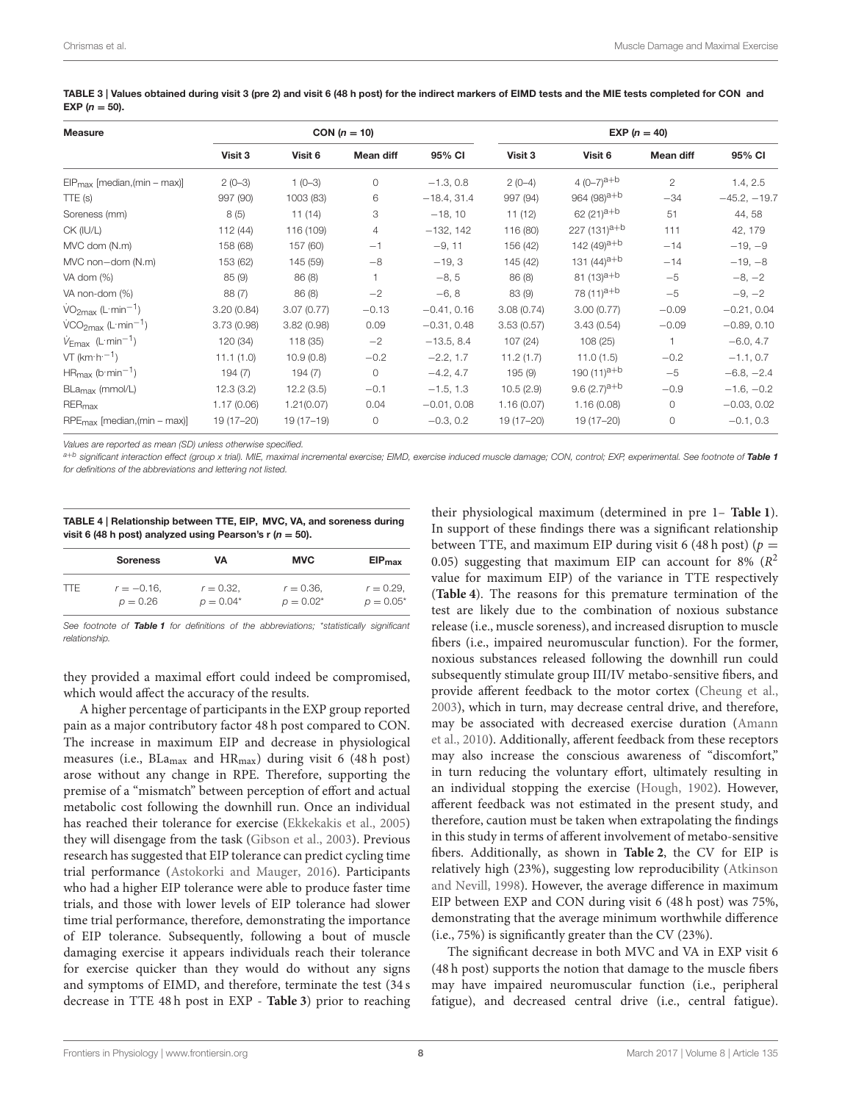| <b>Measure</b>                           |            |             | CON $(n = 10)$ |               | $EXP (n = 40)$ |                         |              |                |  |
|------------------------------------------|------------|-------------|----------------|---------------|----------------|-------------------------|--------------|----------------|--|
|                                          | Visit 3    | Visit 6     | Mean diff      | 95% CI        | Visit 3        | Visit 6                 | Mean diff    | 95% CI         |  |
| $EIP_{\text{max}}$ [median, (min – max)] | $2(0-3)$   | $1(0-3)$    | $\circ$        | $-1.3, 0.8$   | $2(0-4)$       | 4 $(0-7)^{a+b}$         | $\mathbf{2}$ | 1.4, 2.5       |  |
| TTE(s)                                   | 997 (90)   | 1003 (83)   | 6              | $-18.4, 31.4$ | 997 (94)       | 964 (98) <sup>a+b</sup> | $-34$        | $-45.2, -19.7$ |  |
| Soreness (mm)                            | 8(5)       | 11(14)      | 3              | $-18, 10$     | 11(12)         | 62 $(21)^{a+b}$         | 51           | 44, 58         |  |
| CK (IU/L)                                | 112 (44)   | 116 (109)   | 4              | $-132, 142$   | 116 (80)       | $227 (131)^{a+b}$       | 111          | 42, 179        |  |
| MVC dom (N.m)                            | 158 (68)   | 157 (60)    | $-1$           | $-9, 11$      | 156 (42)       | 142 $(49)^{a+b}$        | $-14$        | $-19, -9$      |  |
| MVC non-dom (N.m)                        | 153 (62)   | 145 (59)    | $-8$           | $-19, 3$      | 145 (42)       | 131 $(44)^{a+b}$        | $-14$        | $-19, -8$      |  |
| VA dom (%)                               | 85(9)      | 86(8)       |                | $-8, 5$       | 86(8)          | 81 $(13)^{a+b}$         | $-5$         | $-8, -2$       |  |
| VA non-dom (%)                           | 88(7)      | 86(8)       | $-2$           | $-6, 8$       | 83 (9)         | 78 (11) <sup>a+b</sup>  | $-5$         | $-9, -2$       |  |
| $VO2max$ (L·min <sup>-1</sup> )          | 3.20(0.84) | 3.07(0.77)  | $-0.13$        | $-0.41, 0.16$ | 3.08(0.74)     | 3.00(0.77)              | $-0.09$      | $-0.21, 0.04$  |  |
| $VCO2max$ (L·min <sup>-1</sup> )         | 3.73(0.98) | 3.82(0.98)  | 0.09           | $-0.31, 0.48$ | 3.53(0.57)     | 3.43(0.54)              | $-0.09$      | $-0.89, 0.10$  |  |
| $V_{\text{Emax}}$ (L:min <sup>-1</sup> ) | 120 (34)   | 118 (35)    | $-2$           | $-13.5, 8.4$  | 107(24)        | 108(25)                 | $\mathbf{1}$ | $-6.0, 4.7$    |  |
| $VT$ (km $\cdot h^{-1}$ )                | 11.1(1.0)  | 10.9(0.8)   | $-0.2$         | $-2.2, 1.7$   | 11.2(1.7)      | 11.0(1.5)               | $-0.2$       | $-1.1, 0.7$    |  |
| $HR_{\text{max}}$ (b·min <sup>-1</sup> ) | 194(7)     | 194(7)      | $\circ$        | $-4.2, 4.7$   | 195 (9)        | 190 $(11)^{a+b}$        | $-5$         | $-6.8, -2.4$   |  |
| BLa <sub>max</sub> (mmol/L)              | 12.3(3.2)  | 12.2(3.5)   | $-0.1$         | $-1.5, 1.3$   | 10.5(2.9)      | 9.6 $(2.7)^{a+b}$       | $-0.9$       | $-1.6, -0.2$   |  |
| RER <sub>max</sub>                       | 1.17(0.06) | 1.21(0.07)  | 0.04           | $-0.01, 0.08$ | 1.16(0.07)     | 1.16(0.08)              | $\Omega$     | $-0.03, 0.02$  |  |
| $RPE_{max}$ [median, (min – max)]        | 19 (17-20) | $19(17-19)$ | 0              | $-0.3, 0.2$   | $19(17 - 20)$  | 19 (17-20)              | 0            | $-0.1, 0.3$    |  |

<span id="page-7-0"></span>TABLE 3 | Values obtained during visit 3 (pre 2) and visit 6 (48 h post) for the indirect markers of EIMD tests and the MIE tests completed for CON and EXP  $(n = 50)$ .

Values are reported as mean (SD) unless otherwise specified.

<sup>a+b</sup> significant interaction effect (group x trial). MIE, maximal incremental exercise; EIMD, exercise induced muscle damage; CON, control; EXP, experimental. See footnote of **[Table 1](#page-5-0)** for definitions of the abbreviations and lettering not listed.

<span id="page-7-1"></span>

| TABLE 4   Relationship between TTE, EIP, MVC, VA, and soreness during |
|-----------------------------------------------------------------------|
| visit 6 (48 h post) analyzed using Pearson's $r(n = 50)$ .            |

|      | <b>Soreness</b> | VA           | <b>MVC</b>   | EIP <sub>max</sub> |
|------|-----------------|--------------|--------------|--------------------|
| TTE. | $r = -0.16$ .   | $r = 0.32$ . | $r = 0.36$ . | $r = 0.29$ .       |
|      | $p = 0.26$      | $p = 0.04*$  | $p = 0.02^*$ | $p = 0.05^*$       |

See footnote of [Table 1](#page-5-0) for definitions of the abbreviations; \*statistically significant relationship.

they provided a maximal effort could indeed be compromised, which would affect the accuracy of the results.

A higher percentage of participants in the EXP group reported pain as a major contributory factor 48 h post compared to CON. The increase in maximum EIP and decrease in physiological measures (i.e.,  $BLa_{max}$  and  $HR_{max}$ ) during visit 6 (48 h post) arose without any change in RPE. Therefore, supporting the premise of a "mismatch" between perception of effort and actual metabolic cost following the downhill run. Once an individual has reached their tolerance for exercise [\(Ekkekakis et al., 2005\)](#page-9-33) they will disengage from the task [\(Gibson et al., 2003\)](#page-9-3). Previous research has suggested that EIP tolerance can predict cycling time trial performance [\(Astokorki and Mauger, 2016\)](#page-8-6). Participants who had a higher EIP tolerance were able to produce faster time trials, and those with lower levels of EIP tolerance had slower time trial performance, therefore, demonstrating the importance of EIP tolerance. Subsequently, following a bout of muscle damaging exercise it appears individuals reach their tolerance for exercise quicker than they would do without any signs and symptoms of EIMD, and therefore, terminate the test (34 s decrease in TTE 48 h post in EXP - **[Table 3](#page-7-0)**) prior to reaching their physiological maximum (determined in pre 1– **[Table 1](#page-5-0)**). In support of these findings there was a significant relationship between TTE, and maximum EIP during visit 6 (48 h post) ( $p =$ 0.05) suggesting that maximum EIP can account for 8% ( $R^2$ value for maximum EIP) of the variance in TTE respectively (**[Table 4](#page-7-1)**). The reasons for this premature termination of the test are likely due to the combination of noxious substance release (i.e., muscle soreness), and increased disruption to muscle fibers (i.e., impaired neuromuscular function). For the former, noxious substances released following the downhill run could subsequently stimulate group III/IV metabo-sensitive fibers, and provide afferent feedback to the motor cortex [\(Cheung et al.,](#page-9-34) [2003\)](#page-9-34), which in turn, may decrease central drive, and therefore, may be associated with decreased exercise duration (Amann et al., [2010\)](#page-8-3). Additionally, afferent feedback from these receptors may also increase the conscious awareness of "discomfort," in turn reducing the voluntary effort, ultimately resulting in an individual stopping the exercise [\(Hough, 1902\)](#page-9-35). However, afferent feedback was not estimated in the present study, and therefore, caution must be taken when extrapolating the findings in this study in terms of afferent involvement of metabo-sensitive fibers. Additionally, as shown in **[Table 2](#page-6-0)**, the CV for EIP is relatively [high \(23%\), suggesting low reproducibility \(](#page-8-7)Atkinson and Nevill, [1998\)](#page-8-7). However, the average difference in maximum EIP between EXP and CON during visit 6 (48 h post) was 75%, demonstrating that the average minimum worthwhile difference (i.e., 75%) is significantly greater than the CV (23%).

The significant decrease in both MVC and VA in EXP visit 6 (48 h post) supports the notion that damage to the muscle fibers may have impaired neuromuscular function (i.e., peripheral fatigue), and decreased central drive (i.e., central fatigue).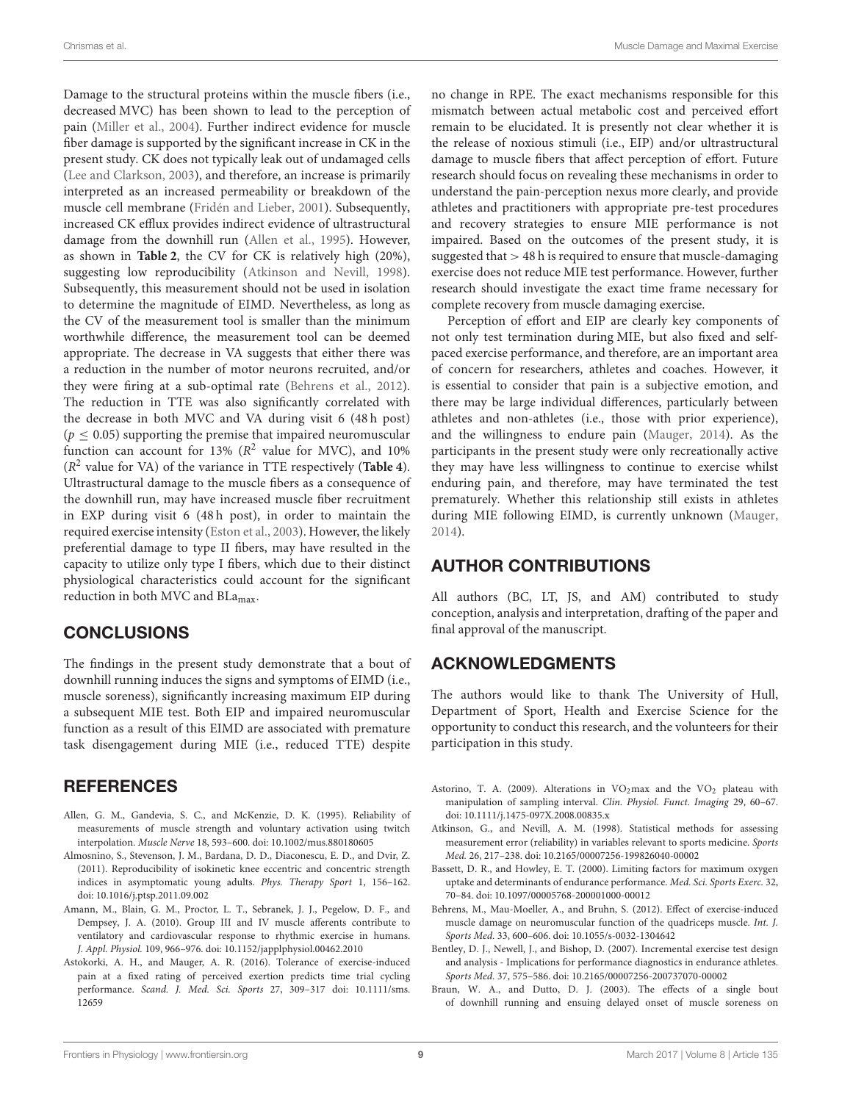Damage to the structural proteins within the muscle fibers (i.e., decreased MVC) has been shown to lead to the perception of pain [\(Miller et al., 2004\)](#page-9-36). Further indirect evidence for muscle fiber damage is supported by the significant increase in CK in the present study. CK does not typically leak out of undamaged cells [\(Lee and Clarkson, 2003\)](#page-9-37), and therefore, an increase is primarily interpreted as an increased permeability or breakdown of the muscle cell membrane [\(Fridén and Lieber, 2001\)](#page-9-38). Subsequently, increased CK efflux provides indirect evidence of ultrastructural damage from the downhill run [\(Allen et al., 1995\)](#page-8-8). However, as shown in **[Table 2](#page-6-0)**, the CV for CK is relatively high (20%), suggesting low reproducibility [\(Atkinson and Nevill, 1998\)](#page-8-7). Subsequently, this measurement should not be used in isolation to determine the magnitude of EIMD. Nevertheless, as long as the CV of the measurement tool is smaller than the minimum worthwhile difference, the measurement tool can be deemed appropriate. The decrease in VA suggests that either there was a reduction in the number of motor neurons recruited, and/or they were firing at a sub-optimal rate [\(Behrens et al., 2012\)](#page-8-9). The reduction in TTE was also significantly correlated with the decrease in both MVC and VA during visit 6 (48 h post) ( $p \leq 0.05$ ) supporting the premise that impaired neuromuscular function can account for 13% ( $R^2$  value for MVC), and 10% (R 2 value for VA) of the variance in TTE respectively (**[Table 4](#page-7-1)**). Ultrastructural damage to the muscle fibers as a consequence of the downhill run, may have increased muscle fiber recruitment in EXP during visit 6 (48 h post), in order to maintain the required exercise intensity [\(Eston et al., 2003\)](#page-9-39). However, the likely preferential damage to type II fibers, may have resulted in the capacity to utilize only type I fibers, which due to their distinct physiological characteristics could account for the significant reduction in both MVC and BLamax.

## **CONCLUSIONS**

The findings in the present study demonstrate that a bout of downhill running induces the signs and symptoms of EIMD (i.e., muscle soreness), significantly increasing maximum EIP during a subsequent MIE test. Both EIP and impaired neuromuscular function as a result of this EIMD are associated with premature task disengagement during MIE (i.e., reduced TTE) despite

## **REFERENCES**

- <span id="page-8-8"></span>Allen, G. M., Gandevia, S. C., and McKenzie, D. K. (1995). Reliability of measurements of muscle strength and voluntary activation using twitch interpolation. Muscle Nerve 18, 593–600. doi: [10.1002/mus.880180605](https://doi.org/10.1002/mus.880180605)
- <span id="page-8-5"></span>Almosnino, S., Stevenson, J. M., Bardana, D. D., Diaconescu, E. D., and Dvir, Z. (2011). Reproducibility of isokinetic knee eccentric and concentric strength indices in asymptomatic young adults. Phys. Therapy Sport 1, 156–162. doi: [10.1016/j.ptsp.2011.09.002](https://doi.org/10.1016/j.ptsp.2011.09.002)
- <span id="page-8-3"></span>Amann, M., Blain, G. M., Proctor, L. T., Sebranek, J. J., Pegelow, D. F., and Dempsey, J. A. (2010). Group III and IV muscle afferents contribute to ventilatory and cardiovascular response to rhythmic exercise in humans. J. Appl. Physiol. 109, 966–976. doi: [10.1152/japplphysiol.00462.2010](https://doi.org/10.1152/japplphysiol.00462.2010)
- <span id="page-8-6"></span>Astokorki, A. H., and Mauger, A. R. (2016). Tolerance of exercise-induced pain at a fixed rating of perceived exertion predicts time trial cycling performance. Scand. J. Med. Sci. Sports [27, 309–317 doi: 10.1111/sms.](https://doi.org/10.1111/sms.12659) 12659

no change in RPE. The exact mechanisms responsible for this mismatch between actual metabolic cost and perceived effort remain to be elucidated. It is presently not clear whether it is the release of noxious stimuli (i.e., EIP) and/or ultrastructural damage to muscle fibers that affect perception of effort. Future research should focus on revealing these mechanisms in order to understand the pain-perception nexus more clearly, and provide athletes and practitioners with appropriate pre-test procedures and recovery strategies to ensure MIE performance is not impaired. Based on the outcomes of the present study, it is suggested that  $>$  48 h is required to ensure that muscle-damaging exercise does not reduce MIE test performance. However, further research should investigate the exact time frame necessary for complete recovery from muscle damaging exercise.

Perception of effort and EIP are clearly key components of not only test termination during MIE, but also fixed and selfpaced exercise performance, and therefore, are an important area of concern for researchers, athletes and coaches. However, it is essential to consider that pain is a subjective emotion, and there may be large individual differences, particularly between athletes and non-athletes (i.e., those with prior experience), and the willingness to endure pain [\(Mauger, 2014\)](#page-9-11). As the participants in the present study were only recreationally active they may have less willingness to continue to exercise whilst enduring pain, and therefore, may have terminated the test prematurely. Whether this relationship still exists in athletes during MIE following EIMD, is currently unknown [\(Mauger,](#page-9-11) [2014\)](#page-9-11).

# AUTHOR CONTRIBUTIONS

All authors (BC, LT, JS, and AM) contributed to study conception, analysis and interpretation, drafting of the paper and final approval of the manuscript.

# ACKNOWLEDGMENTS

The authors would like to thank The University of Hull, Department of Sport, Health and Exercise Science for the opportunity to conduct this research, and the volunteers for their participation in this study.

- <span id="page-8-1"></span>Astorino, T. A. (2009). Alterations in  $VO<sub>2</sub>$  max and the  $VO<sub>2</sub>$  plateau with manipulation of sampling interval. Clin. Physiol. Funct. Imaging 29, 60–67. doi: [10.1111/j.1475-097X.2008.00835.x](https://doi.org/10.1111/j.1475-097X.2008.00835.x)
- <span id="page-8-7"></span>Atkinson, G., and Nevill, A. M. (1998). Statistical methods for assessing measurement error (reliability) in variables relevant to sports medicine. Sports Med. 26, 217–238. doi: [10.2165/00007256-199826040-00002](https://doi.org/10.2165/00007256-199826040-00002)
- <span id="page-8-0"></span>Bassett, D. R., and Howley, E. T. (2000). Limiting factors for maximum oxygen uptake and determinants of endurance performance. Med. Sci. Sports Exerc. 32, 70–84. doi: [10.1097/00005768-200001000-00012](https://doi.org/10.1097/00005768-200001000-00012)
- <span id="page-8-9"></span>Behrens, M., Mau-Moeller, A., and Bruhn, S. (2012). Effect of exercise-induced muscle damage on neuromuscular function of the quadriceps muscle. Int. J. Sports Med. 33, 600–606. doi: [10.1055/s-0032-1304642](https://doi.org/10.1055/s-0032-1304642)
- <span id="page-8-2"></span>Bentley, D. J., Newell, J., and Bishop, D. (2007). Incremental exercise test design and analysis - Implications for performance diagnostics in endurance athletes. Sports Med. 37, 575–586. doi: [10.2165/00007256-200737070-00002](https://doi.org/10.2165/00007256-200737070-00002)
- <span id="page-8-4"></span>Braun, W. A., and Dutto, D. J. (2003). The effects of a single bout of downhill running and ensuing delayed onset of muscle soreness on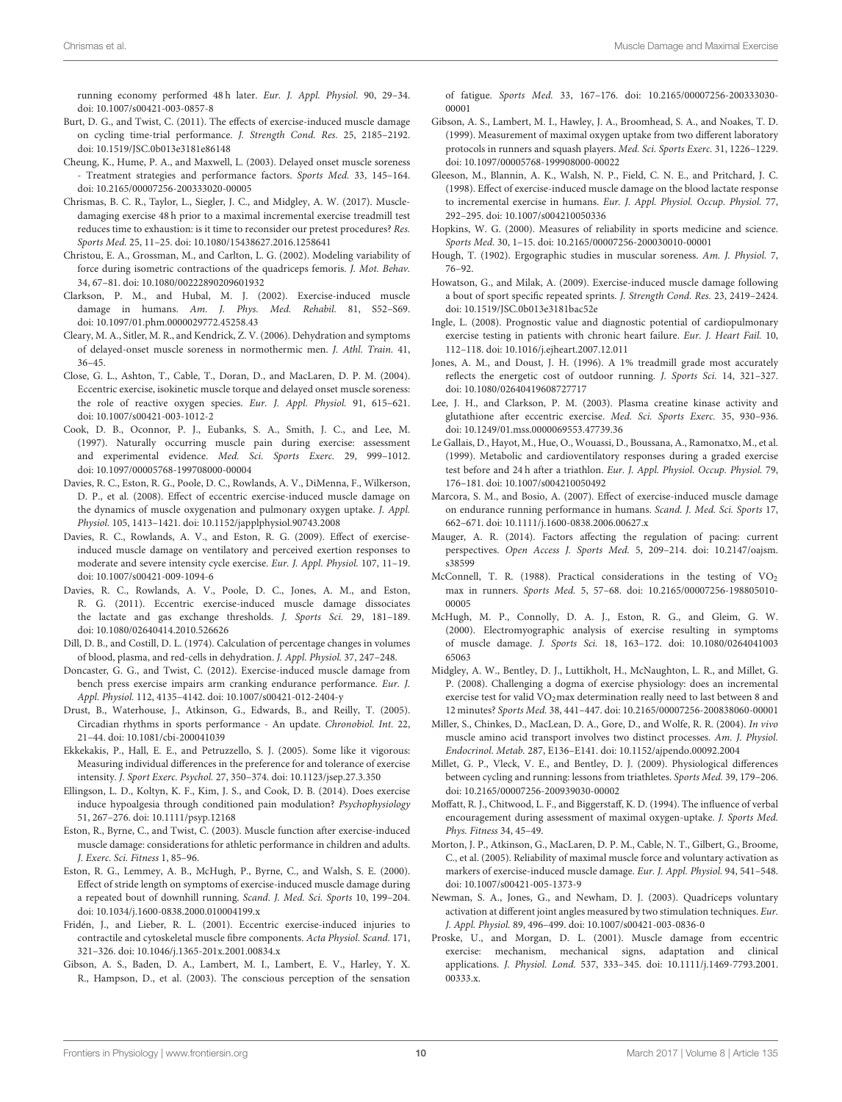running economy performed 48 h later. Eur. J. Appl. Physiol. 90, 29–34. doi: [10.1007/s00421-003-0857-8](https://doi.org/10.1007/s00421-003-0857-8)

- <span id="page-9-30"></span>Burt, D. G., and Twist, C. (2011). The effects of exercise-induced muscle damage on cycling time-trial performance. J. Strength Cond. Res. 25, 2185–2192. doi: [10.1519/JSC.0b013e3181e86148](https://doi.org/10.1519/JSC.0b013e3181e86148)
- <span id="page-9-34"></span>Cheung, K., Hume, P. A., and Maxwell, L. (2003). Delayed onset muscle soreness - Treatment strategies and performance factors. Sports Med. 33, 145-164. doi: [10.2165/00007256-200333020-00005](https://doi.org/10.2165/00007256-200333020-00005)
- <span id="page-9-20"></span>Chrismas, B. C. R., Taylor, L., Siegler, J. C., and Midgley, A. W. (2017). Muscledamaging exercise 48 h prior to a maximal incremental exercise treadmill test reduces time to exhaustion: is it time to reconsider our pretest procedures? Res. Sports Med. 25, 11–25. doi: [10.1080/15438627.2016.1258641](https://doi.org/10.1080/15438627.2016.1258641)
- <span id="page-9-22"></span>Christou, E. A., Grossman, M., and Carlton, L. G. (2002). Modeling variability of force during isometric contractions of the quadriceps femoris. J. Mot. Behav. 34, 67–81. doi: [10.1080/00222890209601932](https://doi.org/10.1080/00222890209601932)
- <span id="page-9-7"></span>Clarkson, P. M., and Hubal, M. J. (2002). Exercise-induced muscle damage in humans. Am. J. Phys. Med. Rehabil. 81, S52–S69. doi: [10.1097/01.phm.0000029772.45258.43](https://doi.org/10.1097/01.phm.0000029772.45258.43)
- <span id="page-9-14"></span>Cleary, M. A., Sitler, M. R., and Kendrick, Z. V. (2006). Dehydration and symptoms of delayed-onset muscle soreness in normothermic men. J. Athl. Train. 41, 36–45.
- <span id="page-9-13"></span>Close, G. L., Ashton, T., Cable, T., Doran, D., and MacLaren, D. P. M. (2004). Eccentric exercise, isokinetic muscle torque and delayed onset muscle soreness: the role of reactive oxygen species. Eur. J. Appl. Physiol. 91, 615–621. doi: [10.1007/s00421-003-1012-2](https://doi.org/10.1007/s00421-003-1012-2)
- <span id="page-9-18"></span>Cook, D. B., Oconnor, P. J., Eubanks, S. A., Smith, J. C., and Lee, M. (1997). Naturally occurring muscle pain during exercise: assessment and experimental evidence. Med. Sci. Sports Exerc. 29, 999–1012. doi: [10.1097/00005768-199708000-00004](https://doi.org/10.1097/00005768-199708000-00004)
- <span id="page-9-26"></span>Davies, R. C., Eston, R. G., Poole, D. C., Rowlands, A. V., DiMenna, F., Wilkerson, D. P., et al. (2008). Effect of eccentric exercise-induced muscle damage on the dynamics of muscle oxygenation and pulmonary oxygen uptake. J. Appl. Physiol. 105, 1413–1421. doi: [10.1152/japplphysiol.90743.2008](https://doi.org/10.1152/japplphysiol.90743.2008)
- <span id="page-9-27"></span>Davies, R. C., Rowlands, A. V., and Eston, R. G. (2009). Effect of exerciseinduced muscle damage on ventilatory and perceived exertion responses to moderate and severe intensity cycle exercise. Eur. J. Appl. Physiol. 107, 11–19. doi: [10.1007/s00421-009-1094-6](https://doi.org/10.1007/s00421-009-1094-6)
- <span id="page-9-8"></span>Davies, R. C., Rowlands, A. V., Poole, D. C., Jones, A. M., and Eston, R. G. (2011). Eccentric exercise-induced muscle damage dissociates the lactate and gas exchange thresholds. J. Sports Sci. 29, 181–189. doi: [10.1080/02640414.2010.526626](https://doi.org/10.1080/02640414.2010.526626)
- <span id="page-9-19"></span>Dill, D. B., and Costill, D. L. (1974). Calculation of percentage changes in volumes of blood, plasma, and red-cells in dehydration. J. Appl. Physiol. 37, 247–248.
- <span id="page-9-28"></span>Doncaster, G. G., and Twist, C. (2012). Exercise-induced muscle damage from bench press exercise impairs arm cranking endurance performance. Eur. J. Appl. Physiol. 112, 4135–4142. doi: [10.1007/s00421-012-2404-y](https://doi.org/10.1007/s00421-012-2404-y)
- <span id="page-9-15"></span>Drust, B., Waterhouse, J., Atkinson, G., Edwards, B., and Reilly, T. (2005). Circadian rhythms in sports performance - An update. Chronobiol. Int. 22, 21–44. doi: [10.1081/cbi-200041039](https://doi.org/10.1081/cbi-200041039)
- <span id="page-9-33"></span>Ekkekakis, P., Hall, E. E., and Petruzzello, S. J. (2005). Some like it vigorous: Measuring individual differences in the preference for and tolerance of exercise intensity. J. Sport Exerc. Psychol. 27, 350–374. doi: [10.1123/jsep.27.3.350](https://doi.org/10.1123/jsep.27.3.350)
- <span id="page-9-10"></span>Ellingson, L. D., Koltyn, K. F., Kim, J. S., and Cook, D. B. (2014). Does exercise induce hypoalgesia through conditioned pain modulation? Psychophysiology 51, 267–276. doi: [10.1111/psyp.12168](https://doi.org/10.1111/psyp.12168)
- <span id="page-9-39"></span>Eston, R., Byrne, C., and Twist, C. (2003). Muscle function after exercise-induced muscle damage: considerations for athletic performance in children and adults. J. Exerc. Sci. Fitness 1, 85–96.
- <span id="page-9-9"></span>Eston, R. G., Lemmey, A. B., McHugh, P., Byrne, C., and Walsh, S. E. (2000). Effect of stride length on symptoms of exercise-induced muscle damage during a repeated bout of downhill running. Scand. J. Med. Sci. Sports 10, 199–204. doi: [10.1034/j.1600-0838.2000.010004199.x](https://doi.org/10.1034/j.1600-0838.2000.010004199.x)
- <span id="page-9-38"></span>Fridén, J., and Lieber, R. L. (2001). Eccentric exercise-induced injuries to contractile and cytoskeletal muscle fibre components. Acta Physiol. Scand. 171, 321–326. doi: [10.1046/j.1365-201x.2001.00834.x](https://doi.org/10.1046/j.1365-201x.2001.00834.x)
- <span id="page-9-3"></span>Gibson, A. S., Baden, D. A., Lambert, M. I., Lambert, E. V., Harley, Y. X. R., Hampson, D., et al. (2003). The conscious perception of the sensation

of fatigue. Sports Med. [33, 167–176. doi: 10.2165/00007256-200333030-](https://doi.org/10.2165/00007256-200333030-00001) 00001

- <span id="page-9-1"></span>Gibson, A. S., Lambert, M. I., Hawley, J. A., Broomhead, S. A., and Noakes, T. D. (1999). Measurement of maximal oxygen uptake from two different laboratory protocols in runners and squash players. Med. Sci. Sports Exerc. 31, 1226–1229. doi: [10.1097/00005768-199908000-00022](https://doi.org/10.1097/00005768-199908000-00022)
- <span id="page-9-32"></span>Gleeson, M., Blannin, A. K., Walsh, N. P., Field, C. N. E., and Pritchard, J. C. (1998). Effect of exercise-induced muscle damage on the blood lactate response to incremental exercise in humans. Eur. J. Appl. Physiol. Occup. Physiol. 77, 292–295. doi: [10.1007/s004210050336](https://doi.org/10.1007/s004210050336)
- <span id="page-9-25"></span>Hopkins, W. G. (2000). Measures of reliability in sports medicine and science. Sports Med. 30, 1–15. doi: [10.2165/00007256-200030010-00001](https://doi.org/10.2165/00007256-200030010-00001)
- <span id="page-9-35"></span>Hough, T. (1902). Ergographic studies in muscular soreness. Am. J. Physiol. 7, 76–92.
- <span id="page-9-23"></span>Howatson, G., and Milak, A. (2009). Exercise-induced muscle damage following a bout of sport specific repeated sprints. J. Strength Cond. Res. 23, 2419–2424. doi: [10.1519/JSC.0b013e3181bac52e](https://doi.org/10.1519/JSC.0b013e3181bac52e)
- <span id="page-9-0"></span>Ingle, L. (2008). Prognostic value and diagnostic potential of cardiopulmonary exercise testing in patients with chronic heart failure. Eur. J. Heart Fail. 10, 112–118. doi: [10.1016/j.ejheart.2007.12.011](https://doi.org/10.1016/j.ejheart.2007.12.011)
- <span id="page-9-16"></span>Jones, A. M., and Doust, J. H. (1996). A 1% treadmill grade most accurately reflects the energetic cost of outdoor running. J. Sports Sci. 14, 321–327. doi: [10.1080/02640419608727717](https://doi.org/10.1080/02640419608727717)
- <span id="page-9-37"></span>Lee, J. H., and Clarkson, P. M. (2003). Plasma creatine kinase activity and glutathione after eccentric exercise. Med. Sci. Sports Exerc. 35, 930–936. doi: [10.1249/01.mss.0000069553.47739.36](https://doi.org/10.1249/01.mss.0000069553.47739.36)
- <span id="page-9-31"></span>Le Gallais, D., Hayot, M., Hue, O., Wouassi, D., Boussana, A., Ramonatxo, M., et al. (1999). Metabolic and cardioventilatory responses during a graded exercise test before and 24 h after a triathlon. Eur. J. Appl. Physiol. Occup. Physiol. 79, 176–181. doi: [10.1007/s004210050492](https://doi.org/10.1007/s004210050492)
- <span id="page-9-29"></span>Marcora, S. M., and Bosio, A. (2007). Effect of exercise-induced muscle damage on endurance running performance in humans. Scand. J. Med. Sci. Sports 17, 662–671. doi: [10.1111/j.1600-0838.2006.00627.x](https://doi.org/10.1111/j.1600-0838.2006.00627.x)
- <span id="page-9-11"></span>Mauger, A. R. (2014). Factors affecting the regulation of pacing: current perspectives. Open Access J. Sports Med. [5, 209–214. doi: 10.2147/oajsm.](https://doi.org/10.2147/oajsm.s38599) s38599
- <span id="page-9-4"></span>McConnell, T. R. (1988). Practical considerations in the testing of  $VO<sub>2</sub>$ max in runners. Sports Med. [5, 57–68. doi: 10.2165/00007256-198805010-](https://doi.org/10.2165/00007256-198805010-00005) 00005
- <span id="page-9-5"></span>McHugh, M. P., Connolly, D. A. J., Eston, R. G., and Gleim, G. W. (2000). Electromyographic analysis of exercise resulting in symptoms of muscle damage. J. Sports Sci. [18, 163–172. doi: 10.1080/0264041003](https://doi.org/10.1080/026404100365063) 65063
- <span id="page-9-17"></span>Midgley, A. W., Bentley, D. J., Luttikholt, H., McNaughton, L. R., and Millet, G. P. (2008). Challenging a dogma of exercise physiology: does an incremental exercise test for valid VO<sub>2</sub>max determination really need to last between 8 and 12 minutes? Sports Med. 38, 441–447. doi: [10.2165/00007256-200838060-00001](https://doi.org/10.2165/00007256-200838060-00001)
- <span id="page-9-36"></span>Miller, S., Chinkes, D., MacLean, D. A., Gore, D., and Wolfe, R. R. (2004). In vivo muscle amino acid transport involves two distinct processes. Am. J. Physiol. Endocrinol. Metab. 287, E136–E141. doi: [10.1152/ajpendo.00092.2004](https://doi.org/10.1152/ajpendo.00092.2004)
- <span id="page-9-12"></span>Millet, G. P., Vleck, V. E., and Bentley, D. J. (2009). Physiological differences between cycling and running: lessons from triathletes. Sports Med. 39, 179–206. doi: [10.2165/00007256-200939030-00002](https://doi.org/10.2165/00007256-200939030-00002)
- <span id="page-9-2"></span>Moffatt, R. J., Chitwood, L. F., and Biggerstaff, K. D. (1994). The influence of verbal encouragement during assessment of maximal oxygen-uptake. J. Sports Med. Phys. Fitness 34, 45–49.
- <span id="page-9-24"></span>Morton, J. P., Atkinson, G., MacLaren, D. P. M., Cable, N. T., Gilbert, G., Broome, C., et al. (2005). Reliability of maximal muscle force and voluntary activation as markers of exercise-induced muscle damage. Eur. J. Appl. Physiol. 94, 541–548. doi: [10.1007/s00421-005-1373-9](https://doi.org/10.1007/s00421-005-1373-9)
- <span id="page-9-21"></span>Newman, S. A., Jones, G., and Newham, D. J. (2003). Quadriceps voluntary activation at different joint angles measured by two stimulation techniques. Eur. J. Appl. Physiol. 89, 496–499. doi: [10.1007/s00421-003-0836-0](https://doi.org/10.1007/s00421-003-0836-0)
- <span id="page-9-6"></span>Proske, U., and Morgan, D. L. (2001). Muscle damage from eccentric exercise: mechanism, mechanical signs, adaptation and clinical applications. J. Physiol. Lond. [537, 333–345. doi: 10.1111/j.1469-7793.2001.](https://doi.org/10.1111/j.1469-7793.2001.00333.x.) 00333.x.